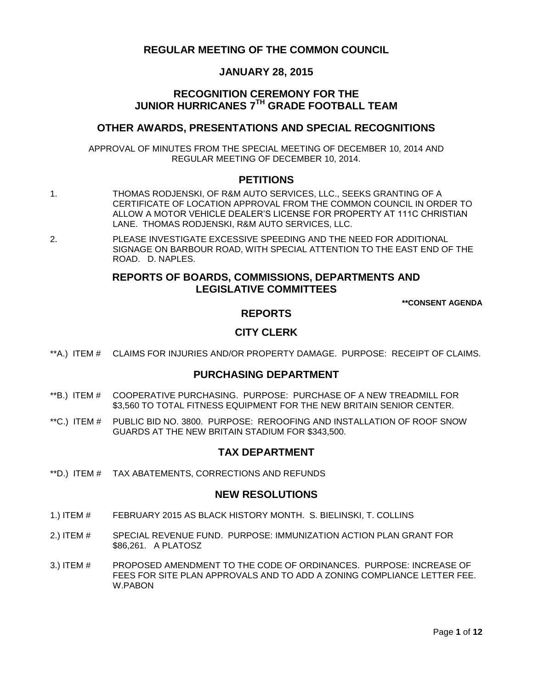# **REGULAR MEETING OF THE COMMON COUNCIL**

# **JANUARY 28, 2015**

# **RECOGNITION CEREMONY FOR THE JUNIOR HURRICANES 7TH GRADE FOOTBALL TEAM**

# **OTHER AWARDS, PRESENTATIONS AND SPECIAL RECOGNITIONS**

APPROVAL OF MINUTES FROM THE SPECIAL MEETING OF DECEMBER 10, 2014 AND REGULAR MEETING OF DECEMBER 10, 2014.

## **PETITIONS**

- 1. THOMAS RODJENSKI, OF R&M AUTO SERVICES, LLC., SEEKS GRANTING OF A CERTIFICATE OF LOCATION APPROVAL FROM THE COMMON COUNCIL IN ORDER TO ALLOW A MOTOR VEHICLE DEALER'S LICENSE FOR PROPERTY AT 111C CHRISTIAN LANE. THOMAS RODJENSKI, R&M AUTO SERVICES, LLC.
- 2. PLEASE INVESTIGATE EXCESSIVE SPEEDING AND THE NEED FOR ADDITIONAL SIGNAGE ON BARBOUR ROAD, WITH SPECIAL ATTENTION TO THE EAST END OF THE ROAD. D. NAPLES.

# **REPORTS OF BOARDS, COMMISSIONS, DEPARTMENTS AND LEGISLATIVE COMMITTEES**

**\*\*CONSENT AGENDA**

## **REPORTS**

# **CITY CLERK**

\*\*A.) ITEM # [CLAIMS FOR INJURIES AND/OR PROPERTY DAMAGE. PURPOSE: RECEIPT OF CLAIMS.](#page-2-0)

## **PURCHASING DEPARTMENT**

- \*\*B.) ITEM # [COOPERATIVE PURCHASING. PURPOSE: PURCHASE OF A NEW TREADMILL FOR](#page-2-1)  [\\$3,560 TO TOTAL FITNESS EQUIPMENT FOR THE NEW BRITAIN SENIOR CENTER.](#page-2-1)
- \*\*C.) ITEM # [PUBLIC BID NO. 3800. PURPOSE: REROOFING AND INSTALLATION OF ROOF SNOW](#page-3-0)  [GUARDS AT THE NEW BRITAIN STADIUM FOR \\$343,500.](#page-3-0)

## **TAX DEPARTMENT**

\*\*D.) ITEM # [TAX ABATEMENTS, CORRECTIONS AND REFUNDS](#page-3-1)

#### **NEW RESOLUTIONS**

- 1.) ITEM # [FEBRUARY 2015 AS BLACK HISTORY MONTH. S. BIELINSKI, T. COLLINS](#page-4-0)
- 2.) ITEM # SPECIAL REVENUE FUND. PURPOSE: [IMMUNIZATION ACTION PLAN GRANT FOR](#page-4-1)  [\\$86,261. A PLATOSZ](#page-4-1)
- 3.) ITEM # [PROPOSED AMENDMENT TO THE CODE OF ORDINANCES. PURPOSE: INCREASE OF](#page-5-0)  [FEES FOR SITE PLAN APPROVALS AND TO ADD A ZONING COMPLIANCE LETTER FEE.](#page-5-0) [W.PABON](#page-5-0)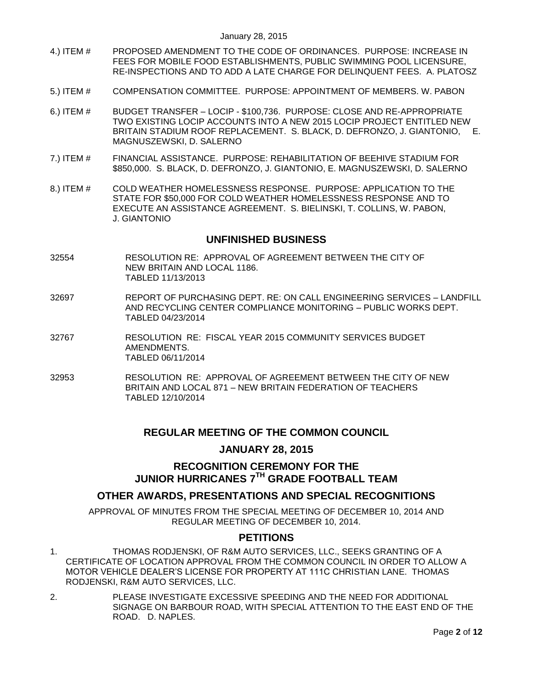- 4.) ITEM # [PROPOSED AMENDMENT TO THE CODE OF ORDINANCES. PURPOSE: INCREASE IN](#page-5-1)  [FEES FOR MOBILE FOOD ESTABLISHMENTS, PUBLIC SWIMMING POOL LICENSURE,](#page-5-1)  [RE-INSPECTIONS AND TO ADD A LATE CHARGE FOR DELINQUENT FEES. A. PLATOSZ](#page-5-1)
- 5.) ITEM # [COMPENSATION COMMITTEE. PURPOSE: APPOINTMENT OF MEMBERS. W. PABON](#page-8-0)
- 6.) ITEM # BUDGET TRANSFER LOCIP [\\$100,736. PURPOSE: CLOSE AND RE-APPROPRIATE](#page-8-1)  [TWO EXISTING LOCIP ACCOUNTS INTO A NEW 2015 LOCIP PROJECT ENTITLED NEW](#page-8-1)  [BRITAIN STADIUM ROOF REPLACEMENT. S. BLACK, D. DEFRONZO, J. GIANTONIO, E.](#page-8-1)  [MAGNUSZEWSKI, D. SALERNO](#page-8-1)
- 7.) ITEM # [FINANCIAL ASSISTANCE. PURPOSE: REHABILITATION OF BEEHIVE STADIUM FOR](#page-9-0)  [\\$850,000. S. BLACK, D. DEFRONZO, J. GIANTONIO, E. MAGNUSZEWSKI, D. SALERNO](#page-9-0)
- 8.) ITEM # [COLD WEATHER HOMELESSNESS RESPONSE. PURPOSE: APPLICATION TO THE](#page-10-0)  [STATE FOR \\$50,000 FOR COLD WEATHER HOMELESSNESS RESPONSE](#page-10-0) AND TO [EXECUTE AN ASSISTANCE AGREEMENT. S. BIELINSKI, T. COLLINS, W. PABON,](#page-10-0)  J. [GIANTONIO](#page-10-0)

## **UNFINISHED BUSINESS**

- 32554 RESOLUTION RE: APPROVAL OF AGREEMENT BETWEEN THE CITY OF NEW BRITAIN AND LOCAL 1186. TABLED 11/13/2013
- 32697 REPORT OF PURCHASING DEPT. RE: ON CALL ENGINEERING SERVICES LANDFILL AND RECYCLING CENTER COMPLIANCE MONITORING – PUBLIC WORKS DEPT. TABLED 04/23/2014
- 32767 RESOLUTION RE: FISCAL YEAR 2015 COMMUNITY SERVICES BUDGET AMENDMENTS. TABLED 06/11/2014
- 32953 RESOLUTION RE: APPROVAL OF AGREEMENT BETWEEN THE CITY OF NEW BRITAIN AND LOCAL 871 – NEW BRITAIN FEDERATION OF TEACHERS TABLED 12/10/2014

# **REGULAR MEETING OF THE COMMON COUNCIL**

## **JANUARY 28, 2015**

# **RECOGNITION CEREMONY FOR THE JUNIOR HURRICANES 7TH GRADE FOOTBALL TEAM**

# **OTHER AWARDS, PRESENTATIONS AND SPECIAL RECOGNITIONS**

APPROVAL OF MINUTES FROM THE SPECIAL MEETING OF DECEMBER 10, 2014 AND REGULAR MEETING OF DECEMBER 10, 2014.

## **PETITIONS**

- 1. THOMAS RODJENSKI, OF R&M AUTO SERVICES, LLC., SEEKS GRANTING OF A CERTIFICATE OF LOCATION APPROVAL FROM THE COMMON COUNCIL IN ORDER TO ALLOW A MOTOR VEHICLE DEALER'S LICENSE FOR PROPERTY AT 111C CHRISTIAN LANE. THOMAS RODJENSKI, R&M AUTO SERVICES, LLC.
- 2. PLEASE INVESTIGATE EXCESSIVE SPEEDING AND THE NEED FOR ADDITIONAL SIGNAGE ON BARBOUR ROAD, WITH SPECIAL ATTENTION TO THE EAST END OF THE ROAD. D. NAPLES.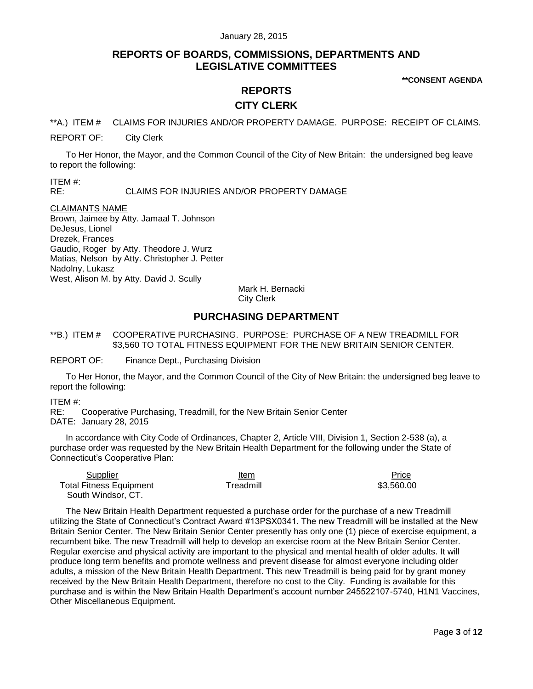# **REPORTS OF BOARDS, COMMISSIONS, DEPARTMENTS AND LEGISLATIVE COMMITTEES**

**\*\*CONSENT AGENDA**

# **REPORTS CITY CLERK**

<span id="page-2-0"></span>\*\*A.) ITEM # CLAIMS FOR INJURIES AND/OR PROPERTY DAMAGE. PURPOSE: RECEIPT OF CLAIMS.

REPORT OF: City Clerk

To Her Honor, the Mayor, and the Common Council of the City of New Britain: the undersigned beg leave to report the following:

ITEM #: RE: CLAIMS FOR INJURIES AND/OR PROPERTY DAMAGE

#### CLAIMANTS NAME

Brown, Jaimee by Atty. Jamaal T. Johnson DeJesus, Lionel Drezek, Frances Gaudio, Roger by Atty. Theodore J. Wurz Matias, Nelson by Atty. Christopher J. Petter Nadolny, Lukasz West, Alison M. by Atty. David J. Scully

Mark H. Bernacki City Clerk

# **PURCHASING DEPARTMENT**

<span id="page-2-1"></span>\*\*B.) ITEM # COOPERATIVE PURCHASING. PURPOSE: PURCHASE OF A NEW TREADMILL FOR \$3,560 TO TOTAL FITNESS EQUIPMENT FOR THE NEW BRITAIN SENIOR CENTER.

REPORT OF: Finance Dept., Purchasing Division

To Her Honor, the Mayor, and the Common Council of the City of New Britain: the undersigned beg leave to report the following:

#### ITEM #:

RE: Cooperative Purchasing, Treadmill, for the New Britain Senior Center DATE: January 28, 2015

In accordance with City Code of Ordinances, Chapter 2, Article VIII, Division 1, Section 2-538 (a), a purchase order was requested by the New Britain Health Department for the following under the State of Connecticut's Cooperative Plan:

| Supplier                       | Item      | <b>Price</b> |
|--------------------------------|-----------|--------------|
| <b>Total Fitness Equipment</b> | Treadmill | \$3.560.00   |
| South Windsor, CT.             |           |              |

The New Britain Health Department requested a purchase order for the purchase of a new Treadmill utilizing the State of Connecticut's Contract Award #13PSX0341. The new Treadmill will be installed at the New Britain Senior Center. The New Britain Senior Center presently has only one (1) piece of exercise equipment, a recumbent bike. The new Treadmill will help to develop an exercise room at the New Britain Senior Center. Regular exercise and physical activity are important to the physical and mental health of older adults. It will produce long term benefits and promote wellness and prevent disease for almost everyone including older adults, a mission of the New Britain Health Department. This new Treadmill is being paid for by grant money received by the New Britain Health Department, therefore no cost to the City. Funding is available for this purchase and is within the New Britain Health Department's account number 245522107-5740, H1N1 Vaccines, Other Miscellaneous Equipment.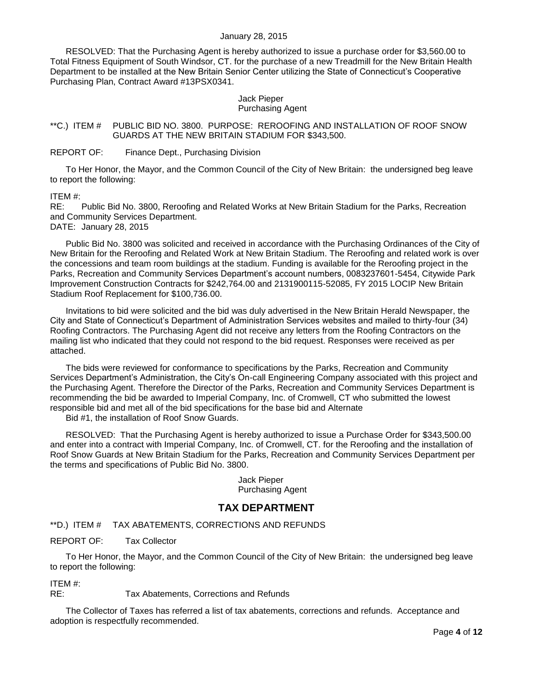#### January 28, 2015

RESOLVED: That the Purchasing Agent is hereby authorized to issue a purchase order for \$3,560.00 to Total Fitness Equipment of South Windsor, CT. for the purchase of a new Treadmill for the New Britain Health Department to be installed at the New Britain Senior Center utilizing the State of Connecticut's Cooperative Purchasing Plan, Contract Award #13PSX0341.

#### Jack Pieper Purchasing Agent

## <span id="page-3-0"></span>\*\*C.) ITEM # PUBLIC BID NO. 3800. PURPOSE: REROOFING AND INSTALLATION OF ROOF SNOW GUARDS AT THE NEW BRITAIN STADIUM FOR \$343,500.

#### REPORT OF: Finance Dept., Purchasing Division

To Her Honor, the Mayor, and the Common Council of the City of New Britain: the undersigned beg leave to report the following:

ITEM #:

RE: Public Bid No. 3800, Reroofing and Related Works at New Britain Stadium for the Parks, Recreation and Community Services Department.

DATE: January 28, 2015

Public Bid No. 3800 was solicited and received in accordance with the Purchasing Ordinances of the City of New Britain for the Reroofing and Related Work at New Britain Stadium. The Reroofing and related work is over the concessions and team room buildings at the stadium. Funding is available for the Reroofing project in the Parks, Recreation and Community Services Department's account numbers, 0083237601-5454, Citywide Park Improvement Construction Contracts for \$242,764.00 and 2131900115-52085, FY 2015 LOCIP New Britain Stadium Roof Replacement for \$100,736.00.

Invitations to bid were solicited and the bid was duly advertised in the New Britain Herald Newspaper, the City and State of Connecticut's Department of Administration Services websites and mailed to thirty-four (34) Roofing Contractors. The Purchasing Agent did not receive any letters from the Roofing Contractors on the mailing list who indicated that they could not respond to the bid request. Responses were received as per attached.

The bids were reviewed for conformance to specifications by the Parks, Recreation and Community Services Department's Administration, the City's On-call Engineering Company associated with this project and the Purchasing Agent. Therefore the Director of the Parks, Recreation and Community Services Department is recommending the bid be awarded to Imperial Company, Inc. of Cromwell, CT who submitted the lowest responsible bid and met all of the bid specifications for the base bid and Alternate

Bid #1, the installation of Roof Snow Guards.

RESOLVED: That the Purchasing Agent is hereby authorized to issue a Purchase Order for \$343,500.00 and enter into a contract with Imperial Company, Inc. of Cromwell, CT. for the Reroofing and the installation of Roof Snow Guards at New Britain Stadium for the Parks, Recreation and Community Services Department per the terms and specifications of Public Bid No. 3800.

> Jack Pieper Purchasing Agent

# **TAX DEPARTMENT**

<span id="page-3-1"></span>\*\*D.) ITEM # TAX ABATEMENTS, CORRECTIONS AND REFUNDS

REPORT OF: Tax Collector

To Her Honor, the Mayor, and the Common Council of the City of New Britain: the undersigned beg leave to report the following:

ITEM #:

RE: Tax Abatements, Corrections and Refunds

The Collector of Taxes has referred a list of tax abatements, corrections and refunds. Acceptance and adoption is respectfully recommended.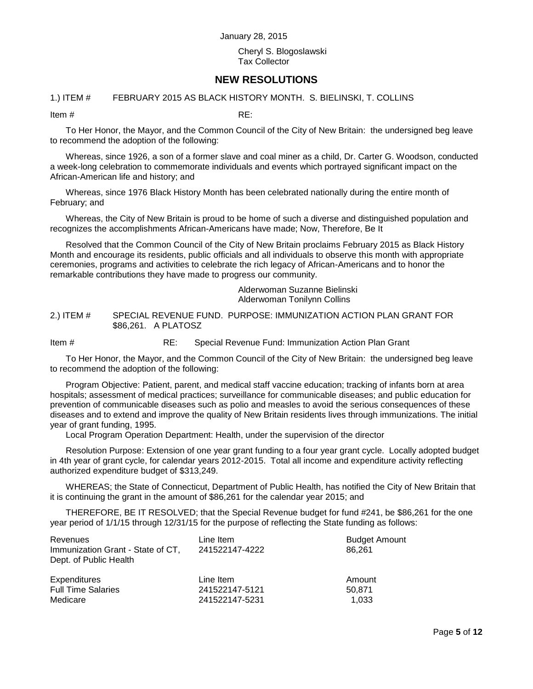#### Cheryl S. Blogoslawski Tax Collector

# **NEW RESOLUTIONS**

#### <span id="page-4-0"></span>1.) ITEM # FEBRUARY 2015 AS BLACK HISTORY MONTH. S. BIELINSKI, T. COLLINS

Item  $\#$  RE:

To Her Honor, the Mayor, and the Common Council of the City of New Britain: the undersigned beg leave to recommend the adoption of the following:

Whereas, since 1926, a son of a former slave and coal miner as a child, Dr. Carter G. Woodson, conducted a week-long celebration to commemorate individuals and events which portrayed significant impact on the African-American life and history; and

Whereas, since 1976 Black History Month has been celebrated nationally during the entire month of February; and

Whereas, the City of New Britain is proud to be home of such a diverse and distinguished population and recognizes the accomplishments African-Americans have made; Now, Therefore, Be It

Resolved that the Common Council of the City of New Britain proclaims February 2015 as Black History Month and encourage its residents, public officials and all individuals to observe this month with appropriate ceremonies, programs and activities to celebrate the rich legacy of African-Americans and to honor the remarkable contributions they have made to progress our community.

> Alderwoman Suzanne Bielinski Alderwoman Tonilynn Collins

<span id="page-4-1"></span>2.) ITEM # SPECIAL REVENUE FUND. PURPOSE: IMMUNIZATION ACTION PLAN GRANT FOR \$86,261. A PLATOSZ

Item # RE: Special Revenue Fund: Immunization Action Plan Grant

To Her Honor, the Mayor, and the Common Council of the City of New Britain: the undersigned beg leave to recommend the adoption of the following:

Program Objective: Patient, parent, and medical staff vaccine education; tracking of infants born at area hospitals; assessment of medical practices; surveillance for communicable diseases; and public education for prevention of communicable diseases such as polio and measles to avoid the serious consequences of these diseases and to extend and improve the quality of New Britain residents lives through immunizations. The initial year of grant funding, 1995.

Local Program Operation Department: Health, under the supervision of the director

Resolution Purpose: Extension of one year grant funding to a four year grant cycle. Locally adopted budget in 4th year of grant cycle, for calendar years 2012-2015. Total all income and expenditure activity reflecting authorized expenditure budget of \$313,249.

WHEREAS; the State of Connecticut, Department of Public Health, has notified the City of New Britain that it is continuing the grant in the amount of \$86,261 for the calendar year 2015; and

THEREFORE, BE IT RESOLVED; that the Special Revenue budget for fund #241, be \$86,261 for the one year period of 1/1/15 through 12/31/15 for the purpose of reflecting the State funding as follows:

| Revenues<br>Immunization Grant - State of CT,<br>Dept. of Public Health | Line Item<br>241522147-4222 | <b>Budget Amount</b><br>86.261 |
|-------------------------------------------------------------------------|-----------------------------|--------------------------------|
| Expenditures                                                            | Line Item                   | Amount                         |
| <b>Full Time Salaries</b>                                               | 241522147-5121              | 50.871                         |
| Medicare                                                                | 241522147-5231              | 1.033                          |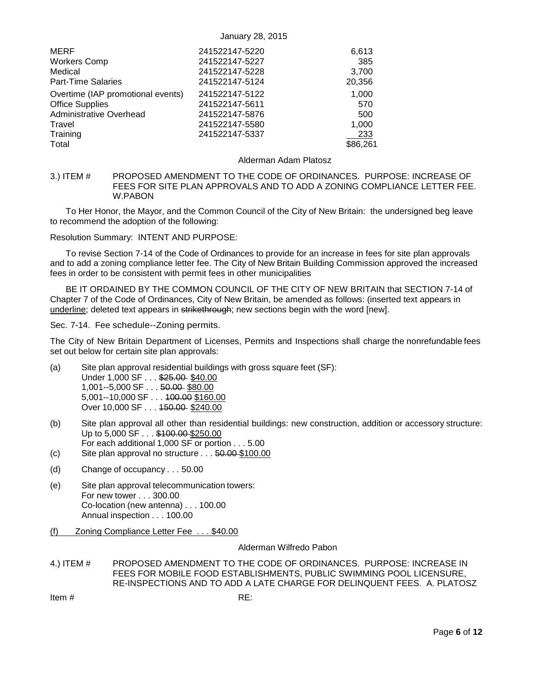| MERF                              | 241522147-5220 | 6,613    |
|-----------------------------------|----------------|----------|
| <b>Workers Comp</b>               | 241522147-5227 | 385      |
| Medical                           | 241522147-5228 | 3,700    |
| <b>Part-Time Salaries</b>         | 241522147-5124 | 20,356   |
| Overtime (IAP promotional events) | 241522147-5122 | 1,000    |
| <b>Office Supplies</b>            | 241522147-5611 | 570      |
| <b>Administrative Overhead</b>    | 241522147-5876 | 500      |
| Travel                            | 241522147-5580 | 1,000    |
| Training                          | 241522147-5337 | 233      |
| Total                             |                | \$86,261 |

#### Alderman Adam Platosz

<span id="page-5-0"></span>3.) ITEM # PROPOSED AMENDMENT TO THE CODE OF ORDINANCES. PURPOSE: INCREASE OF FEES FOR SITE PLAN APPROVALS AND TO ADD A ZONING COMPLIANCE LETTER FEE. W.PABON

To Her Honor, the Mayor, and the Common Council of the City of New Britain: the undersigned beg leave to recommend the adoption of the following:

Resolution Summary: INTENT AND PURPOSE:

To revise Section 7-14 of the Code of Ordinances to provide for an increase in fees for site plan approvals and to add a zoning compliance letter fee. The City of New Britain Building Commission approved the increased fees in order to be consistent with permit fees in other municipalities

BE IT ORDAINED BY THE COMMON COUNCIL OF THE CITY OF NEW BRITAIN that SECTION 7-14 of Chapter 7 of the Code of Ordinances, City of New Britain, be amended as follows: (inserted text appears in underline; deleted text appears in strikethrough; new sections begin with the word [new].

Sec. 7-14. Fee schedule--Zoning permits.

The City of New Britain Department of Licenses, Permits and Inspections shall charge the nonrefundable fees set out below for certain site plan approvals:

- (a) Site plan approval residential buildings with gross square feet (SF): Under 1,000 SF . . . \$25.00 \$40.00 1,001--5,000 SF . . . 50.00 \$80.00 5,001--10,000 SF . . . 100.00 \$160.00 Over 10,000 SF . . . 150.00 \$240.00
- (b) Site plan approval all other than residential buildings: new construction, addition or accessory structure: Up to 5,000 SF . . . \$100.00 \$250.00 For each additional 1,000 SF or portion . . . 5.00
- (c) Site plan approval no structure . . . 50.00 \$100.00
- (d) Change of occupancy . . . 50.00
- (e) Site plan approval telecommunication towers: For new tower . . . 300.00 Co-location (new antenna) . . . 100.00 Annual inspection . . . 100.00
- (f) Zoning Compliance Letter Fee . . . \$40.00

#### Alderman Wilfredo Pabon

<span id="page-5-1"></span>4.) ITEM # PROPOSED AMENDMENT TO THE CODE OF ORDINANCES. PURPOSE: INCREASE IN FEES FOR MOBILE FOOD ESTABLISHMENTS, PUBLIC SWIMMING POOL LICENSURE, RE-INSPECTIONS AND TO ADD A LATE CHARGE FOR DELINQUENT FEES. A. PLATOSZ

Item  $\#$  RE: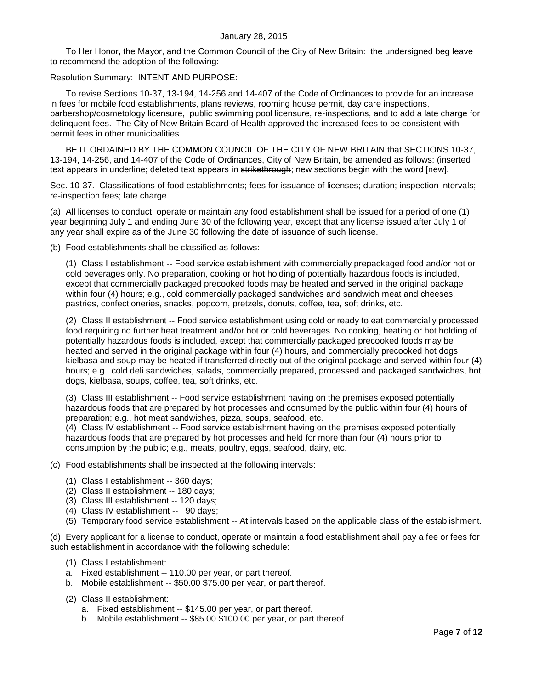To Her Honor, the Mayor, and the Common Council of the City of New Britain: the undersigned beg leave to recommend the adoption of the following:

#### Resolution Summary: INTENT AND PURPOSE:

To revise Sections 10-37, 13-194, 14-256 and 14-407 of the Code of Ordinances to provide for an increase in fees for mobile food establishments, plans reviews, rooming house permit, day care inspections, barbershop/cosmetology licensure, public swimming pool licensure, re-inspections, and to add a late charge for delinquent fees. The City of New Britain Board of Health approved the increased fees to be consistent with permit fees in other municipalities

BE IT ORDAINED BY THE COMMON COUNCIL OF THE CITY OF NEW BRITAIN that SECTIONS 10-37, 13-194, 14-256, and 14-407 of the Code of Ordinances, City of New Britain, be amended as follows: (inserted text appears in underline; deleted text appears in strikethrough; new sections begin with the word [new].

Sec. 10-37. Classifications of food establishments; fees for issuance of licenses; duration; inspection intervals; re-inspection fees; late charge.

(a) All licenses to conduct, operate or maintain any food establishment shall be issued for a period of one (1) year beginning July 1 and ending June 30 of the following year, except that any license issued after July 1 of any year shall expire as of the June 30 following the date of issuance of such license.

(b) Food establishments shall be classified as follows:

(1) Class I establishment -- Food service establishment with commercially prepackaged food and/or hot or cold beverages only. No preparation, cooking or hot holding of potentially hazardous foods is included, except that commercially packaged precooked foods may be heated and served in the original package within four (4) hours; e.g., cold commercially packaged sandwiches and sandwich meat and cheeses, pastries, confectioneries, snacks, popcorn, pretzels, donuts, coffee, tea, soft drinks, etc.

(2) Class II establishment -- Food service establishment using cold or ready to eat commercially processed food requiring no further heat treatment and/or hot or cold beverages. No cooking, heating or hot holding of potentially hazardous foods is included, except that commercially packaged precooked foods may be heated and served in the original package within four (4) hours, and commercially precooked hot dogs, kielbasa and soup may be heated if transferred directly out of the original package and served within four (4) hours; e.g., cold deli sandwiches, salads, commercially prepared, processed and packaged sandwiches, hot dogs, kielbasa, soups, coffee, tea, soft drinks, etc.

(3) Class III establishment -- Food service establishment having on the premises exposed potentially hazardous foods that are prepared by hot processes and consumed by the public within four (4) hours of preparation; e.g., hot meat sandwiches, pizza, soups, seafood, etc.

(4) Class IV establishment -- Food service establishment having on the premises exposed potentially hazardous foods that are prepared by hot processes and held for more than four (4) hours prior to consumption by the public; e.g., meats, poultry, eggs, seafood, dairy, etc.

(c) Food establishments shall be inspected at the following intervals:

- (1) Class I establishment -- 360 days;
- (2) Class II establishment -- 180 days;
- (3) Class III establishment -- 120 days;
- (4) Class IV establishment -- 90 days;
- (5) Temporary food service establishment -- At intervals based on the applicable class of the establishment.

(d) Every applicant for a license to conduct, operate or maintain a food establishment shall pay a fee or fees for such establishment in accordance with the following schedule:

- (1) Class I establishment:
- a. Fixed establishment -- 110.00 per year, or part thereof.
- b. Mobile establishment -- \$50.00 \$75.00 per year, or part thereof.
- (2) Class II establishment:
	- a. Fixed establishment -- \$145.00 per year, or part thereof.
	- b. Mobile establishment -- \$85.00 \$100.00 per year, or part thereof.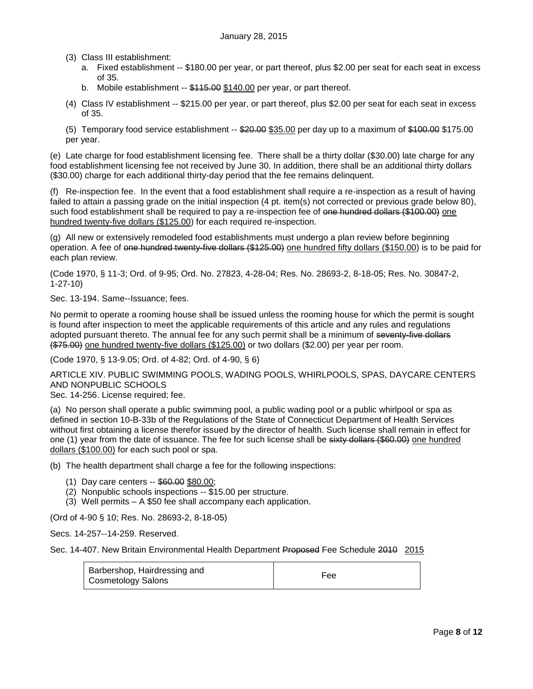(3) Class III establishment:

- a. Fixed establishment -- \$180.00 per year, or part thereof, plus \$2.00 per seat for each seat in excess of 35.
- b. Mobile establishment -- \$115.00 \$140.00 per year, or part thereof.
- (4) Class IV establishment -- \$215.00 per year, or part thereof, plus \$2.00 per seat for each seat in excess of 35.

(5) Temporary food service establishment -- \$20.00 \$35.00 per day up to a maximum of \$100.00 \$175.00 per year.

(e) Late charge for food establishment licensing fee. There shall be a thirty dollar (\$30.00) late charge for any food establishment licensing fee not received by June 30. In addition, there shall be an additional thirty dollars (\$30.00) charge for each additional thirty-day period that the fee remains delinquent.

(f) Re-inspection fee. In the event that a food establishment shall require a re-inspection as a result of having failed to attain a passing grade on the initial inspection (4 pt. item(s) not corrected or previous grade below 80), such food establishment shall be required to pay a re-inspection fee of one hundred dollars (\$100.00) one hundred twenty-five dollars (\$125.00) for each required re-inspection.

(g) All new or extensively remodeled food establishments must undergo a plan review before beginning operation. A fee of one hundred twenty-five dollars (\$125.00) one hundred fifty dollars (\$150.00) is to be paid for each plan review.

(Code 1970, § 11-3; Ord. of 9-95; Ord. No. 27823, 4-28-04; Res. No. 28693-2, 8-18-05; Res. No. 30847-2, 1-27-10)

Sec. 13-194. Same--Issuance; fees.

No permit to operate a rooming house shall be issued unless the rooming house for which the permit is sought is found after inspection to meet the applicable requirements of this article and any rules and regulations adopted pursuant thereto. The annual fee for any such permit shall be a minimum of seventy-five dollars (\$75.00) one hundred twenty-five dollars (\$125.00) or two dollars (\$2.00) per year per room.

(Code 1970, § 13-9.05; Ord. of 4-82; Ord. of 4-90, § 6)

ARTICLE XIV. PUBLIC SWIMMING POOLS, WADING POOLS, WHIRLPOOLS, SPAS, DAYCARE CENTERS AND NONPUBLIC SCHOOLS

Sec. 14-256. License required; fee.

(a) No person shall operate a public swimming pool, a public wading pool or a public whirlpool or spa as defined in section 10-B-33b of the Regulations of the State of Connecticut Department of Health Services without first obtaining a license therefor issued by the director of health. Such license shall remain in effect for one (1) year from the date of issuance. The fee for such license shall be sixty dollars (\$60.00) one hundred dollars (\$100.00) for each such pool or spa.

(b) The health department shall charge a fee for the following inspections:

- (1) Day care centers -- \$60.00 \$80.00;
- (2) Nonpublic schools inspections -- \$15.00 per structure.
- (3) Well permits A \$50 fee shall accompany each application.

(Ord of 4-90 § 10; Res. No. 28693-2, 8-18-05)

Secs. 14-257--14-259. Reserved.

Sec. 14-407. New Britain Environmental Health Department Proposed Fee Schedule 2010 2015

| Barbershop, Hairdressing and<br>Cosmetology Salons | Fee |  |
|----------------------------------------------------|-----|--|
|----------------------------------------------------|-----|--|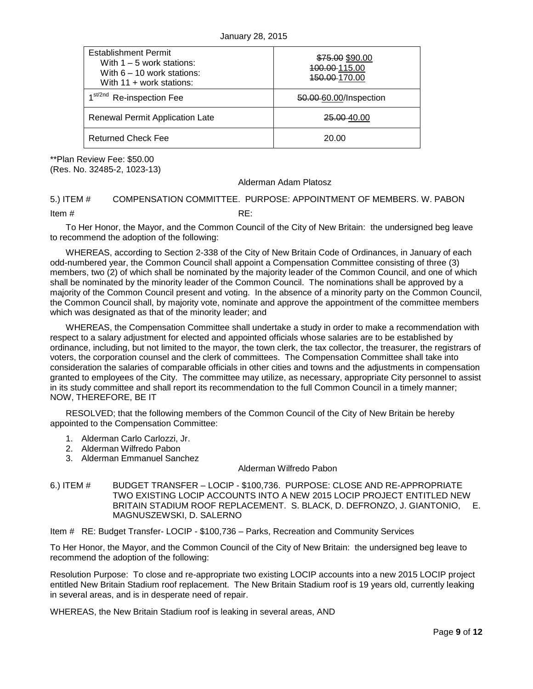| <b>Establishment Permit</b><br>With $1 - 5$ work stations:<br>With $6 - 10$ work stations:<br>With $11 +$ work stations: | \$75.00 \$90.00<br>100.00-115.00<br><del>150.00</del> -170.00 |
|--------------------------------------------------------------------------------------------------------------------------|---------------------------------------------------------------|
| 1 <sup>st/2nd</sup> Re-inspection Fee                                                                                    | 50.00-60.00/Inspection                                        |
| <b>Renewal Permit Application Late</b>                                                                                   | <del>25.00 4</del> 0.00                                       |
| <b>Returned Check Fee</b>                                                                                                | 20.00                                                         |

\*\*Plan Review Fee: \$50.00 (Res. No. 32485-2, 1023-13)

#### Alderman Adam Platosz

## <span id="page-8-0"></span>5.) ITEM # COMPENSATION COMMITTEE. PURPOSE: APPOINTMENT OF MEMBERS. W. PABON

Item # RE:

To Her Honor, the Mayor, and the Common Council of the City of New Britain: the undersigned beg leave to recommend the adoption of the following:

WHEREAS, according to Section 2-338 of the City of New Britain Code of Ordinances, in January of each odd-numbered year, the Common Council shall appoint a Compensation Committee consisting of three (3) members, two (2) of which shall be nominated by the majority leader of the Common Council, and one of which shall be nominated by the minority leader of the Common Council. The nominations shall be approved by a majority of the Common Council present and voting. In the absence of a minority party on the Common Council, the Common Council shall, by majority vote, nominate and approve the appointment of the committee members which was designated as that of the minority leader; and

WHEREAS, the Compensation Committee shall undertake a study in order to make a recommendation with respect to a salary adjustment for elected and appointed officials whose salaries are to be established by ordinance, including, but not limited to the mayor, the town clerk, the tax collector, the treasurer, the registrars of voters, the corporation counsel and the clerk of committees. The Compensation Committee shall take into consideration the salaries of comparable officials in other cities and towns and the adjustments in compensation granted to employees of the City. The committee may utilize, as necessary, appropriate City personnel to assist in its study committee and shall report its recommendation to the full Common Council in a timely manner; NOW, THEREFORE, BE IT

RESOLVED; that the following members of the Common Council of the City of New Britain be hereby appointed to the Compensation Committee:

- 1. Alderman Carlo Carlozzi, Jr.
- 2. Alderman Wilfredo Pabon
- 3. Alderman Emmanuel Sanchez

#### Alderman Wilfredo Pabon

<span id="page-8-1"></span>6.) ITEM # BUDGET TRANSFER – LOCIP - \$100,736. PURPOSE: CLOSE AND RE-APPROPRIATE TWO EXISTING LOCIP ACCOUNTS INTO A NEW 2015 LOCIP PROJECT ENTITLED NEW BRITAIN STADIUM ROOF REPLACEMENT. S. BLACK, D. DEFRONZO, J. GIANTONIO, E. MAGNUSZEWSKI, D. SALERNO

Item # RE: Budget Transfer- LOCIP - \$100,736 – Parks, Recreation and Community Services

To Her Honor, the Mayor, and the Common Council of the City of New Britain: the undersigned beg leave to recommend the adoption of the following:

Resolution Purpose: To close and re-appropriate two existing LOCIP accounts into a new 2015 LOCIP project entitled New Britain Stadium roof replacement. The New Britain Stadium roof is 19 years old, currently leaking in several areas, and is in desperate need of repair.

WHEREAS, the New Britain Stadium roof is leaking in several areas, AND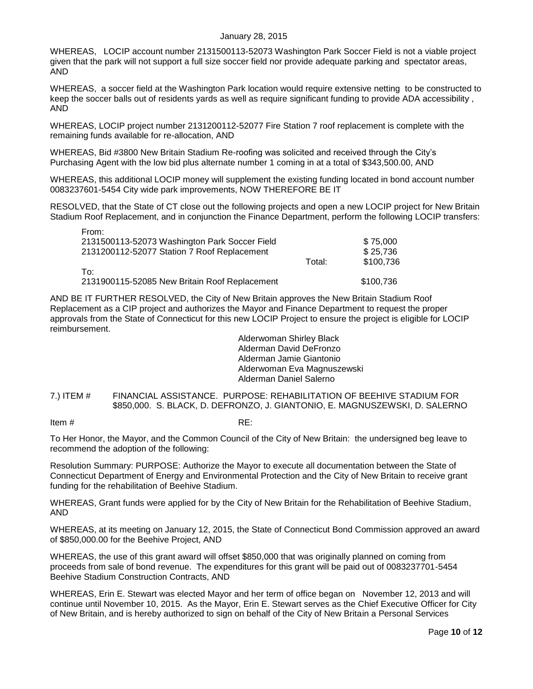#### January 28, 2015

WHEREAS, LOCIP account number 2131500113-52073 Washington Park Soccer Field is not a viable project given that the park will not support a full size soccer field nor provide adequate parking and spectator areas, AND

WHEREAS, a soccer field at the Washington Park location would require extensive netting to be constructed to keep the soccer balls out of residents yards as well as require significant funding to provide ADA accessibility , AND

WHEREAS, LOCIP project number 2131200112-52077 Fire Station 7 roof replacement is complete with the remaining funds available for re-allocation, AND

WHEREAS, Bid #3800 New Britain Stadium Re-roofing was solicited and received through the City's Purchasing Agent with the low bid plus alternate number 1 coming in at a total of \$343,500.00, AND

WHEREAS, this additional LOCIP money will supplement the existing funding located in bond account number 0083237601-5454 City wide park improvements, NOW THEREFORE BE IT

RESOLVED, that the State of CT close out the following projects and open a new LOCIP project for New Britain Stadium Roof Replacement, and in conjunction the Finance Department, perform the following LOCIP transfers:

| To∶<br>2131900115-52085 New Britain Roof Replacement      | Total: | \$100.736<br>\$100,736 |
|-----------------------------------------------------------|--------|------------------------|
|                                                           |        |                        |
| 2131200112-52077 Station 7 Roof Replacement               |        | \$25,736               |
| 1 IUIII.<br>2131500113-52073 Washington Park Soccer Field |        | \$75,000               |

AND BE IT FURTHER RESOLVED, the City of New Britain approves the New Britain Stadium Roof Replacement as a CIP project and authorizes the Mayor and Finance Department to request the proper approvals from the State of Connecticut for this new LOCIP Project to ensure the project is eligible for LOCIP reimbursement.

> Alderwoman Shirley Black Alderman David DeFronzo Alderman Jamie Giantonio Alderwoman Eva Magnuszewski Alderman Daniel Salerno

<span id="page-9-0"></span>7.) ITEM # FINANCIAL ASSISTANCE. PURPOSE: REHABILITATION OF BEEHIVE STADIUM FOR \$850,000. S. BLACK, D. DEFRONZO, J. GIANTONIO, E. MAGNUSZEWSKI, D. SALERNO

Item  $\#$  RE:

From:

To Her Honor, the Mayor, and the Common Council of the City of New Britain: the undersigned beg leave to recommend the adoption of the following:

Resolution Summary: PURPOSE: Authorize the Mayor to execute all documentation between the State of Connecticut Department of Energy and Environmental Protection and the City of New Britain to receive grant funding for the rehabilitation of Beehive Stadium.

WHEREAS, Grant funds were applied for by the City of New Britain for the Rehabilitation of Beehive Stadium, AND

WHEREAS, at its meeting on January 12, 2015, the State of Connecticut Bond Commission approved an award of \$850,000.00 for the Beehive Project, AND

WHEREAS, the use of this grant award will offset \$850,000 that was originally planned on coming from proceeds from sale of bond revenue. The expenditures for this grant will be paid out of 0083237701-5454 Beehive Stadium Construction Contracts, AND

WHEREAS, Erin E. Stewart was elected Mayor and her term of office began on November 12, 2013 and will continue until November 10, 2015. As the Mayor, Erin E. Stewart serves as the Chief Executive Officer for City of New Britain, and is hereby authorized to sign on behalf of the City of New Britain a Personal Services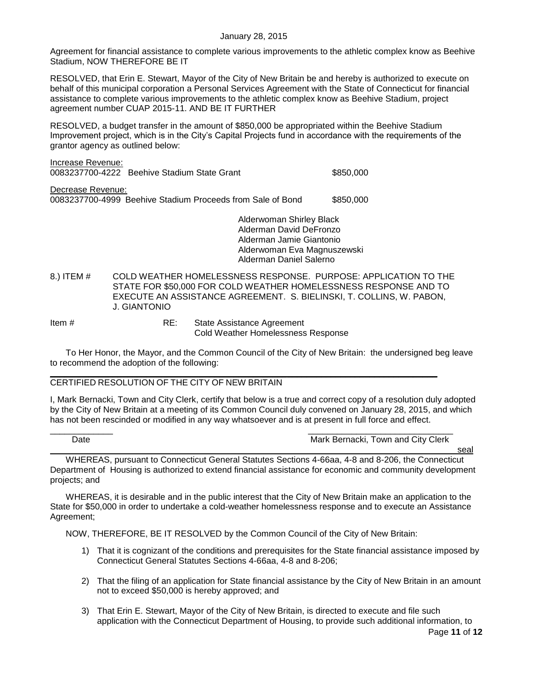Agreement for financial assistance to complete various improvements to the athletic complex know as Beehive Stadium, NOW THEREFORE BE IT

RESOLVED, that Erin E. Stewart, Mayor of the City of New Britain be and hereby is authorized to execute on behalf of this municipal corporation a Personal Services Agreement with the State of Connecticut for financial assistance to complete various improvements to the athletic complex know as Beehive Stadium, project agreement number CUAP 2015-11. AND BE IT FURTHER

RESOLVED, a budget transfer in the amount of \$850,000 be appropriated within the Beehive Stadium Improvement project, which is in the City's Capital Projects fund in accordance with the requirements of the grantor agency as outlined below:

|                   | Alderwoman Shirley Black                                   |           |
|-------------------|------------------------------------------------------------|-----------|
| Decrease Revenue: | 0083237700-4999 Beehive Stadium Proceeds from Sale of Bond | \$850,000 |
| Increase Revenue: | 0083237700-4222 Beehive Stadium State Grant                | \$850,000 |

Alderman David DeFronzo Alderman Jamie Giantonio Alderwoman Eva Magnuszewski Alderman Daniel Salerno

<span id="page-10-0"></span>8.) ITEM # COLD WEATHER HOMELESSNESS RESPONSE. PURPOSE: APPLICATION TO THE STATE FOR \$50,000 FOR COLD WEATHER HOMELESSNESS RESPONSE AND TO EXECUTE AN ASSISTANCE AGREEMENT. S. BIELINSKI, T. COLLINS, W. PABON, J. GIANTONIO

Item # RE: State Assistance Agreement Cold Weather Homelessness Response

To Her Honor, the Mayor, and the Common Council of the City of New Britain: the undersigned beg leave to recommend the adoption of the following:

#### $\mathcal{L}_\mathcal{L} = \mathcal{L}_\mathcal{L} = \mathcal{L}_\mathcal{L} = \mathcal{L}_\mathcal{L} = \mathcal{L}_\mathcal{L} = \mathcal{L}_\mathcal{L} = \mathcal{L}_\mathcal{L} = \mathcal{L}_\mathcal{L} = \mathcal{L}_\mathcal{L} = \mathcal{L}_\mathcal{L} = \mathcal{L}_\mathcal{L} = \mathcal{L}_\mathcal{L} = \mathcal{L}_\mathcal{L} = \mathcal{L}_\mathcal{L} = \mathcal{L}_\mathcal{L} = \mathcal{L}_\mathcal{L} = \mathcal{L}_\mathcal{L}$ CERTIFIED RESOLUTION OF THE CITY OF NEW BRITAIN

I, Mark Bernacki, Town and City Clerk, certify that below is a true and correct copy of a resolution duly adopted by the City of New Britain at a meeting of its Common Council duly convened on January 28, 2015, and which has not been rescinded or modified in any way whatsoever and is at present in full force and effect.

| ۱nt<br>Jale<br>. | Mark<br>Town and City Clerk<br>Bernacki<br>____ |     |
|------------------|-------------------------------------------------|-----|
|                  |                                                 | こしし |

WHEREAS, pursuant to Connecticut General Statutes Sections 4-66aa, 4-8 and 8-206, the Connecticut Department of Housing is authorized to extend financial assistance for economic and community development projects; and

WHEREAS, it is desirable and in the public interest that the City of New Britain make an application to the State for \$50,000 in order to undertake a cold-weather homelessness response and to execute an Assistance Agreement;

NOW, THEREFORE, BE IT RESOLVED by the Common Council of the City of New Britain:

- 1) That it is cognizant of the conditions and prerequisites for the State financial assistance imposed by Connecticut General Statutes Sections 4-66aa, 4-8 and 8-206;
- 2) That the filing of an application for State financial assistance by the City of New Britain in an amount not to exceed \$50,000 is hereby approved; and
- 3) That Erin E. Stewart, Mayor of the City of New Britain, is directed to execute and file such application with the Connecticut Department of Housing, to provide such additional information, to